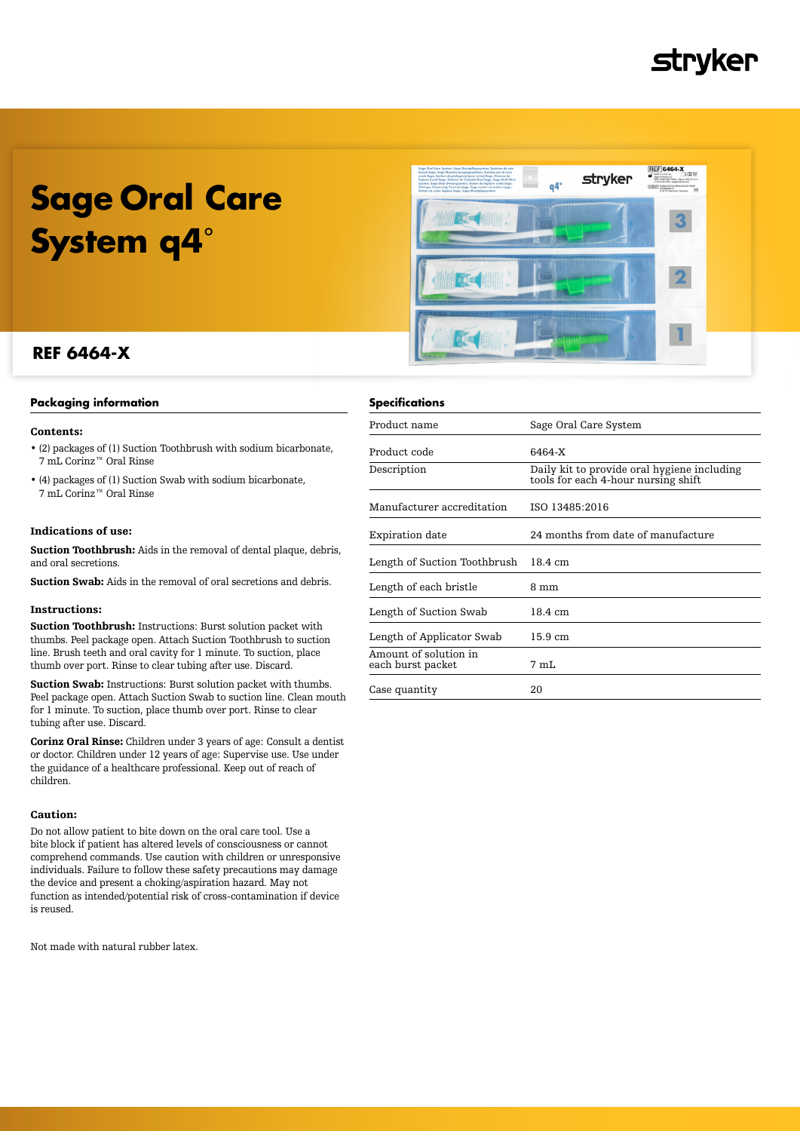## **Stryker**

# **Sage Oral Care System q4**˚



### **REF 6464-X**

#### **Packaging information**

#### Contents:

- (2) packages of (1) Suction Toothbrush with sodium bicarbonate, 7 mL Corinz™ Oral Rinse
- (4) packages of (1) Suction Swab with sodium bicarbonate, 7 mL Corinz™ Oral Rinse

#### Indications of use:

Suction Toothbrush: Aids in the removal of dental plaque, debris, and oral secretions.

Suction Swab: Aids in the removal of oral secretions and debris.

#### Instructions:

Suction Toothbrush: Instructions: Burst solution packet with thumbs. Peel package open. Attach Suction Toothbrush to suction line. Brush teeth and oral cavity for 1 minute. To suction, place thumb over port. Rinse to clear tubing after use. Discard.

Suction Swab: Instructions: Burst solution packet with thumbs. Peel package open. Attach Suction Swab to suction line. Clean mouth for 1 minute. To suction, place thumb over port. Rinse to clear tubing after use. Discard.

Corinz Oral Rinse: Children under 3 years of age: Consult a dentist or doctor. Children under 12 years of age: Supervise use. Use under the guidance of a healthcare professional. Keep out of reach of children.

#### Caution:

Do not allow patient to bite down on the oral care tool. Use a bite block if patient has altered levels of consciousness or cannot comprehend commands. Use caution with children or unresponsive individuals. Failure to follow these safety precautions may damage the device and present a choking/aspiration hazard. May not function as intended/potential risk of cross-contamination if device is reused.

Not made with natural rubber latex.

#### **Specifications**

| Product name                               | Sage Oral Care System                                                              |
|--------------------------------------------|------------------------------------------------------------------------------------|
| Product code                               | 6464-X                                                                             |
| Description                                | Daily kit to provide oral hygiene including<br>tools for each 4-hour nursing shift |
| Manufacturer accreditation                 | ISO 13485:2016                                                                     |
| Expiration date                            | 24 months from date of manufacture                                                 |
| Length of Suction Toothbrush               | 18.4 cm                                                                            |
| Length of each bristle                     | 8 mm                                                                               |
| Length of Suction Swab                     | 18.4 cm                                                                            |
| Length of Applicator Swab                  | 15.9 cm                                                                            |
| Amount of solution in<br>each burst packet | 7 mL                                                                               |
| Case quantity                              | 20                                                                                 |